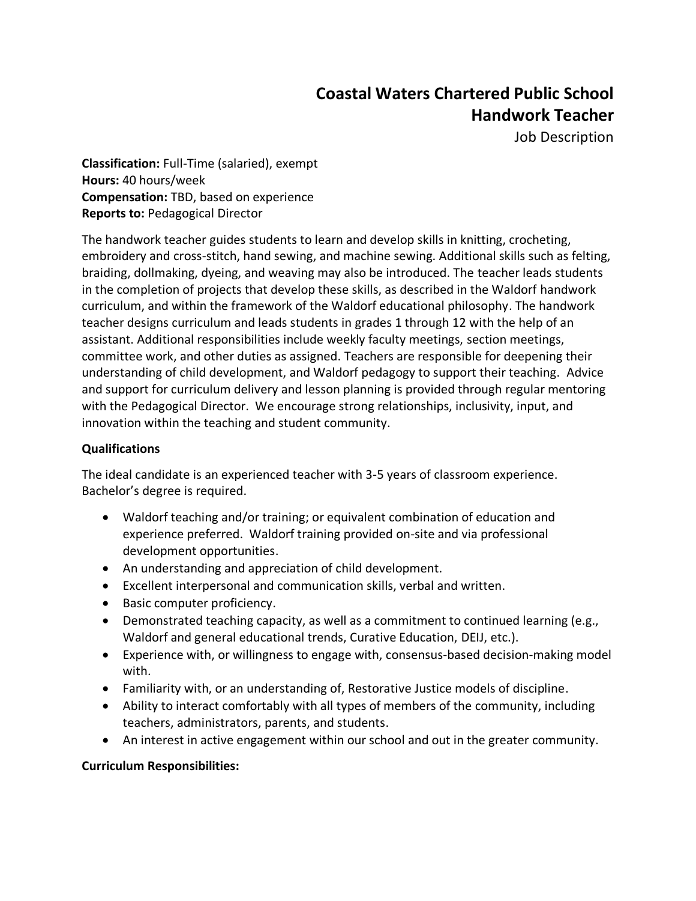# **Coastal Waters Chartered Public School Handwork Teacher**

Job Description

**Classification:** Full-Time (salaried), exempt **Hours:** 40 hours/week **Compensation:** TBD, based on experience **Reports to:** Pedagogical Director

The handwork teacher guides students to learn and develop skills in knitting, crocheting, embroidery and cross-stitch, hand sewing, and machine sewing. Additional skills such as felting, braiding, dollmaking, dyeing, and weaving may also be introduced. The teacher leads students in the completion of projects that develop these skills, as described in the Waldorf handwork curriculum, and within the framework of the Waldorf educational philosophy. The handwork teacher designs curriculum and leads students in grades 1 through 12 with the help of an assistant. Additional responsibilities include weekly faculty meetings, section meetings, committee work, and other duties as assigned. Teachers are responsible for deepening their understanding of child development, and Waldorf pedagogy to support their teaching. Advice and support for curriculum delivery and lesson planning is provided through regular mentoring with the Pedagogical Director. We encourage strong relationships, inclusivity, input, and innovation within the teaching and student community.

## **Qualifications**

The ideal candidate is an experienced teacher with 3-5 years of classroom experience. Bachelor's degree is required.

- Waldorf teaching and/or training; or equivalent combination of education and experience preferred. Waldorf training provided on-site and via professional development opportunities.
- An understanding and appreciation of child development.
- Excellent interpersonal and communication skills, verbal and written.
- Basic computer proficiency.
- Demonstrated teaching capacity, as well as a commitment to continued learning (e.g., Waldorf and general educational trends, Curative Education, DEIJ, etc.).
- Experience with, or willingness to engage with, consensus-based decision-making model with.
- Familiarity with, or an understanding of, Restorative Justice models of discipline.
- Ability to interact comfortably with all types of members of the community, including teachers, administrators, parents, and students.
- An interest in active engagement within our school and out in the greater community.

#### **Curriculum Responsibilities:**